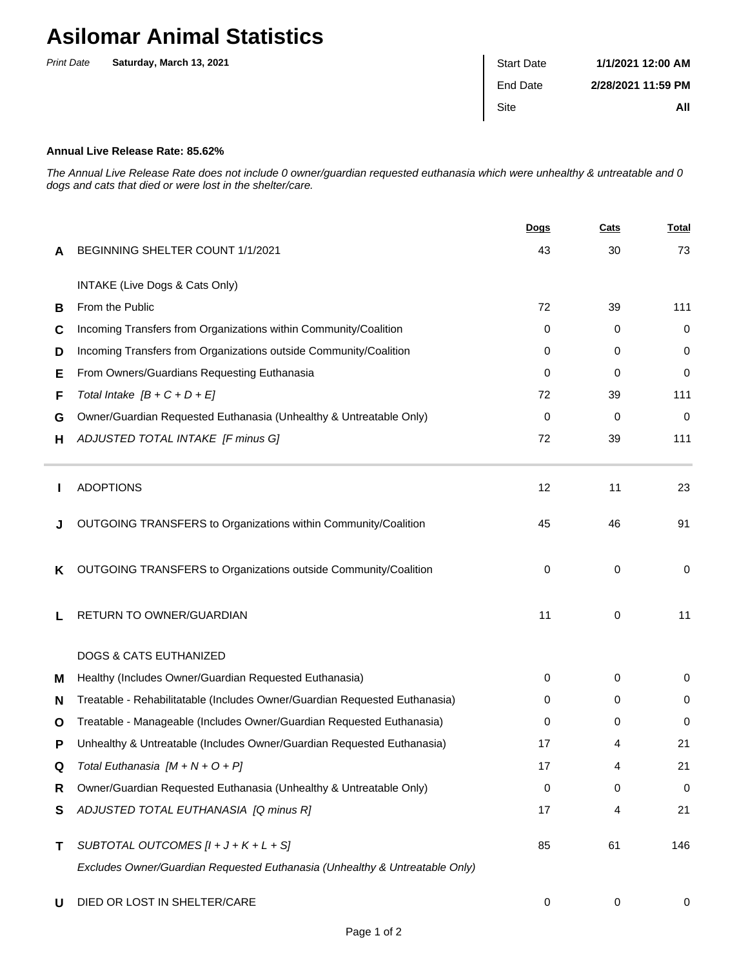## **Asilomar Animal Statistics**

| <b>Print Date</b> | Saturday, March 13, 2021 | <b>Start Date</b> | 1/1/2021 12:00 AM  |
|-------------------|--------------------------|-------------------|--------------------|
|                   |                          | End Date          | 2/28/2021 11:59 PM |
|                   |                          | Site              | All                |
|                   |                          |                   |                    |

## **Annual Live Release Rate: 85.62%**

The Annual Live Release Rate does not include 0 owner/guardian requested euthanasia which were unhealthy & untreatable and 0 dogs and cats that died or were lost in the shelter/care.

|   |                                                                             | <b>Dogs</b> | Cats | <b>Total</b> |
|---|-----------------------------------------------------------------------------|-------------|------|--------------|
| A | BEGINNING SHELTER COUNT 1/1/2021                                            | 43          | 30   | 73           |
|   | INTAKE (Live Dogs & Cats Only)                                              |             |      |              |
| в | From the Public                                                             | 72          | 39   | 111          |
| С | Incoming Transfers from Organizations within Community/Coalition            | $\Omega$    | 0    | 0            |
| D | Incoming Transfers from Organizations outside Community/Coalition           | 0           | 0    | 0            |
| Е | From Owners/Guardians Requesting Euthanasia                                 | $\Omega$    | 0    | 0            |
| F | Total Intake $[B + C + D + E]$                                              | 72          | 39   | 111          |
| G | Owner/Guardian Requested Euthanasia (Unhealthy & Untreatable Only)          | 0           | 0    | 0            |
| н | ADJUSTED TOTAL INTAKE [F minus G]                                           | 72          | 39   | 111          |
|   | <b>ADOPTIONS</b>                                                            | 12          | 11   | 23           |
|   | OUTGOING TRANSFERS to Organizations within Community/Coalition              | 45          | 46   | 91           |
| ĸ | OUTGOING TRANSFERS to Organizations outside Community/Coalition             | 0           | 0    | 0            |
|   | RETURN TO OWNER/GUARDIAN                                                    | 11          | 0    | 11           |
|   | <b>DOGS &amp; CATS EUTHANIZED</b>                                           |             |      |              |
| м | Healthy (Includes Owner/Guardian Requested Euthanasia)                      | 0           | 0    | 0            |
| N | Treatable - Rehabilitatable (Includes Owner/Guardian Requested Euthanasia)  | 0           | 0    | 0            |
| O | Treatable - Manageable (Includes Owner/Guardian Requested Euthanasia)       | 0           | 0    | 0            |
| Р | Unhealthy & Untreatable (Includes Owner/Guardian Requested Euthanasia)      | 17          | 4    | 21           |
| Q | Total Euthanasia $[M + N + O + P]$                                          | 17          | 4    | 21           |
| R | Owner/Guardian Requested Euthanasia (Unhealthy & Untreatable Only)          | 0           | 0    | $\mathbf 0$  |
| S | ADJUSTED TOTAL EUTHANASIA [Q minus R]                                       | 17          | 4    | 21           |
| Τ | SUBTOTAL OUTCOMES $[l + J + K + L + S]$                                     | 85          | 61   | 146          |
|   | Excludes Owner/Guardian Requested Euthanasia (Unhealthy & Untreatable Only) |             |      |              |
| U | DIED OR LOST IN SHELTER/CARE                                                | 0           | 0    | 0            |